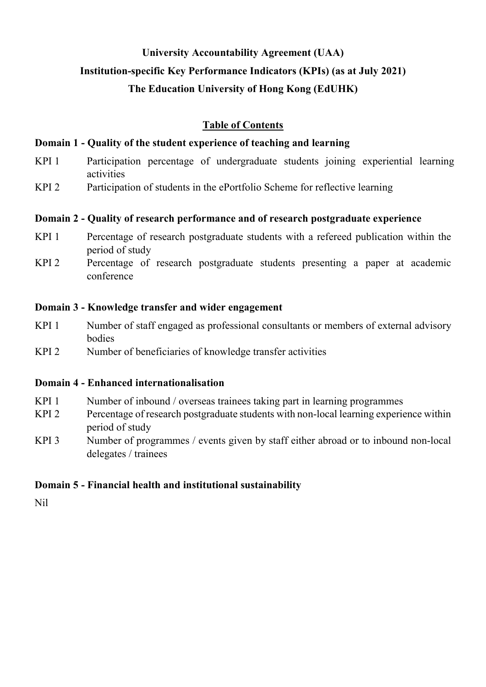# **University Accountability Agreement (UAA)**

# **Institution-specific Key Performance Indicators (KPIs) (as at July 2021)**

# **The Education University of Hong Kong (EdUHK)**

# **Table of Contents**

# **Domain 1 - Quality of the student experience of teaching and learning**

- KPI 1 Participation percentage of undergraduate students joining experiential learning activities
- KPI 2 Participation of students in the ePortfolio Scheme for reflective learning

## **Domain 2 - Quality of research performance and of research postgraduate experience**

- KPI 1 Percentage of research postgraduate students with a refereed publication within the period of study
- KPI 2 Percentage of research postgraduate students presenting a paper at academic conference

## **Domain 3 - Knowledge transfer and wider engagement**

- KPI 1 Number of staff engaged as professional consultants or members of external advisory bodies
- KPI 2 Number of beneficiaries of knowledge transfer activities

## **Domain 4 - Enhanced internationalisation**

- KPI 1 Number of inbound / overseas trainees taking part in learning programmes
- KPI 2 Percentage of research postgraduate students with non-local learning experience within period of study
- KPI 3 Number of programmes / events given by staff either abroad or to inbound non-local delegates / trainees

# **Domain 5 - Financial health and institutional sustainability**

Nil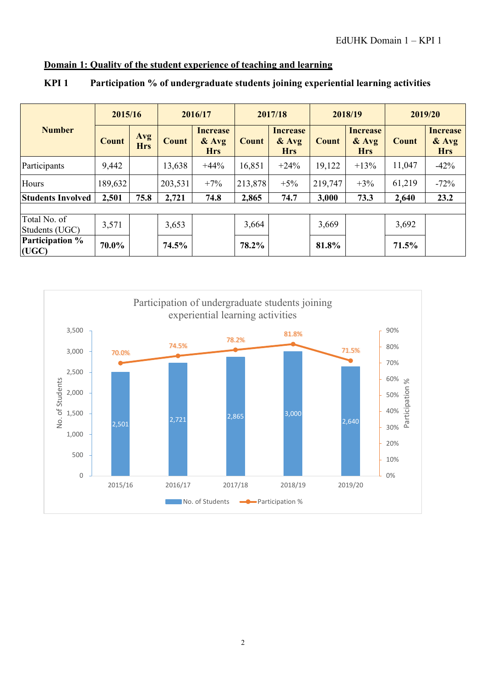# **Domain 1: Quality of the student experience of teaching and learning**

|                                 | 2015/16      |                   |              | 2016/17                                  |              | 2017/18                                  |              | 2018/19                                  |              | 2019/20                                  |  |
|---------------------------------|--------------|-------------------|--------------|------------------------------------------|--------------|------------------------------------------|--------------|------------------------------------------|--------------|------------------------------------------|--|
| <b>Number</b>                   | <b>Count</b> | Avg<br><b>Hrs</b> | <b>Count</b> | <b>Increase</b><br>$&$ Avg<br><b>Hrs</b> | <b>Count</b> | <b>Increase</b><br>$&$ Avg<br><b>Hrs</b> | <b>Count</b> | <b>Increase</b><br>$&$ Avg<br><b>Hrs</b> | <b>Count</b> | <b>Increase</b><br>$&$ Avg<br><b>Hrs</b> |  |
| Participants                    | 9,442        |                   | 13,638       | $+44%$                                   | 16,851       | $+24%$                                   | 19,122       | $+13%$                                   | 11,047       | $-42%$                                   |  |
| Hours                           | 189,632      |                   | 203,531      | $+7%$                                    | 213,878      | $+5%$                                    | 219,747      | $+3%$                                    | 61,219       | $-72%$                                   |  |
| <b>Students Involved</b>        | 2,501        | 75.8              | 2,721        | 74.8                                     | 2,865        | 74.7                                     | 3,000        | 73.3                                     | 2,640        | 23.2                                     |  |
|                                 |              |                   |              |                                          |              |                                          |              |                                          |              |                                          |  |
| Total No. of<br>Students (UGC)  | 3,571        |                   | 3,653        |                                          | 3,664        |                                          | 3,669        |                                          | 3,692        |                                          |  |
| <b>Participation %</b><br>(UGC) | 70.0%        |                   | 74.5%        |                                          | 78.2%        |                                          | 81.8%        |                                          | 71.5%        |                                          |  |

### **KPI 1 Participation % of undergraduate students joining experiential learning activities**

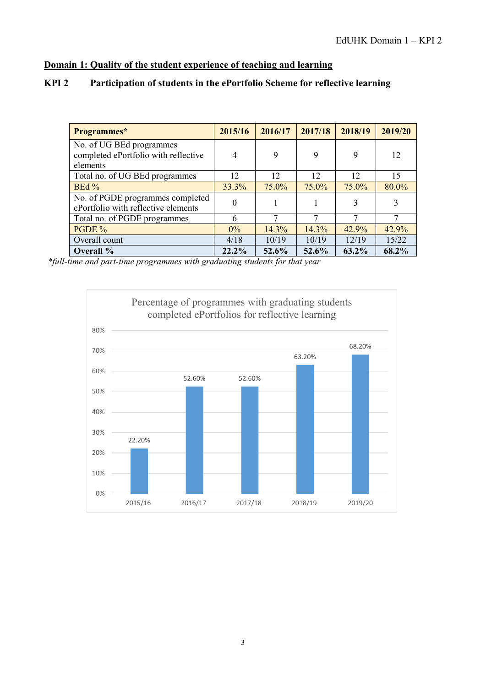### **Domain 1: Quality of the student experience of teaching and learning**

| Programmes*                                                                  | 2015/16        | 2016/17 | 2017/18 | 2018/19 | 2019/20 |
|------------------------------------------------------------------------------|----------------|---------|---------|---------|---------|
| No. of UG BEd programmes<br>completed ePortfolio with reflective<br>elements | $\overline{4}$ | 9       | 9       | 9       | 12      |
| Total no. of UG BEd programmes                                               | 12             | 12      | 12      | 12      | 15      |
| BEd%                                                                         | 33.3%          | 75.0%   | 75.0%   | 75.0%   | 80.0%   |
| No. of PGDE programmes completed<br>ePortfolio with reflective elements      | $\theta$       |         |         | 3       | 3       |
| Total no. of PGDE programmes                                                 | 6              | ┑       | ⇁       |         | 7       |
| PGDE %                                                                       | $0\%$          | 14.3%   | 14.3%   | 42.9%   | 42.9%   |
| Overall count                                                                | 4/18           | 10/19   | 10/19   | 12/19   | 15/22   |
| Overall %                                                                    | 22.2%          | 52.6%   | 52.6%   | 63.2%   | 68.2%   |

#### **KPI 2 Participation of students in the ePortfolio Scheme for reflective learning**

*\*full-time and part-time programmes with graduating students for that year*

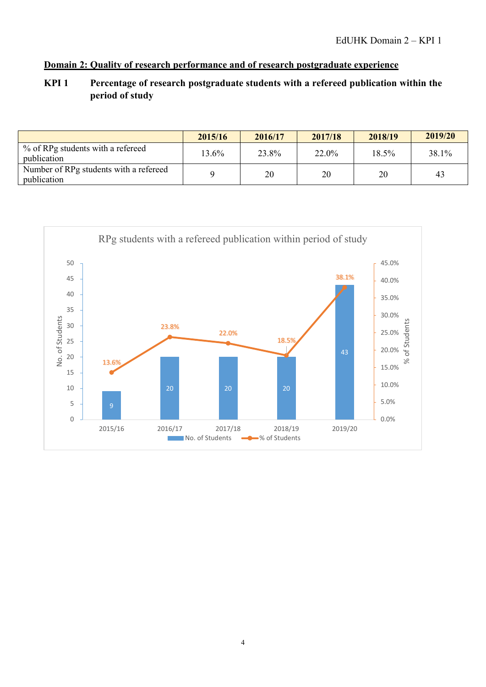#### **Domain 2: Quality of research performance and of research postgraduate experience**

## **KPI 1 Percentage of research postgraduate students with a refereed publication within the period of study**

|                                                       | 2015/16 | 2016/17 | 2017/18 | 2018/19 | 2019/20 |
|-------------------------------------------------------|---------|---------|---------|---------|---------|
| % of RPg students with a refereed<br>publication      | 13.6%   | 23.8%   | 22.0%   | 18.5%   | 38.1%   |
| Number of RPg students with a refereed<br>publication |         | 20      | 20      | 20      | 43      |

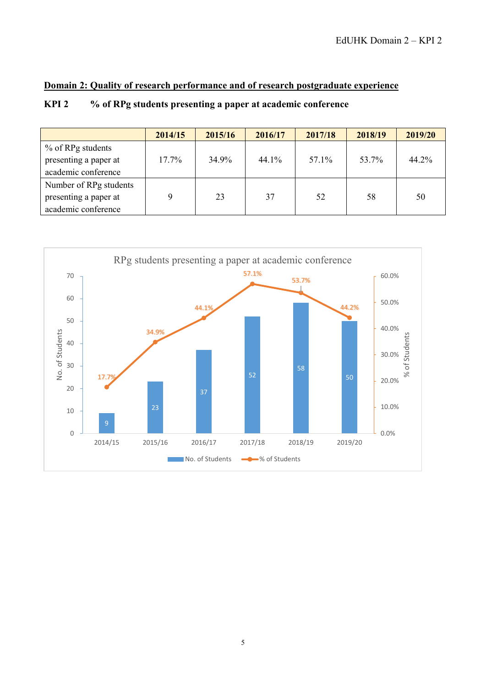#### **Domain 2: Quality of research performance and of research postgraduate experience**

# **KPI 2 % of RPg students presenting a paper at academic conference**

|                        | 2014/15  | 2015/16 | 2016/17 | 2017/18 | 2018/19 | 2019/20 |
|------------------------|----------|---------|---------|---------|---------|---------|
| % of RPg students      |          |         |         |         |         |         |
| presenting a paper at  | $17.7\%$ | 34.9%   | 44.1%   | 57.1%   | 53.7%   | 44.2%   |
| academic conference    |          |         |         |         |         |         |
| Number of RPg students |          |         |         |         |         |         |
| presenting a paper at  | Q        | 23      | 37      | 52      | 58      | 50      |
| academic conference    |          |         |         |         |         |         |

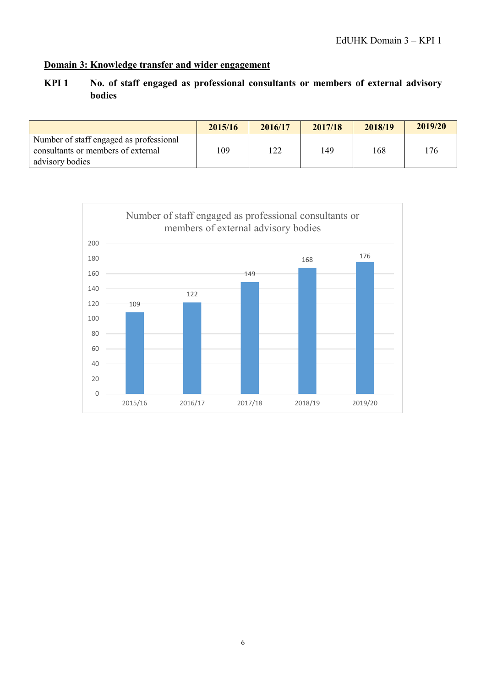## **Domain 3: Knowledge transfer and wider engagement**

# **KPI 1 No. of staff engaged as professional consultants or members of external advisory bodies**

|                                                                                                  | 2015/16 | 2016/17 | 2017/18 | 2018/19 | 2019/20 |
|--------------------------------------------------------------------------------------------------|---------|---------|---------|---------|---------|
| Number of staff engaged as professional<br>consultants or members of external<br>advisory bodies | 109     | 1つつ     | 149     | 168     | 176     |

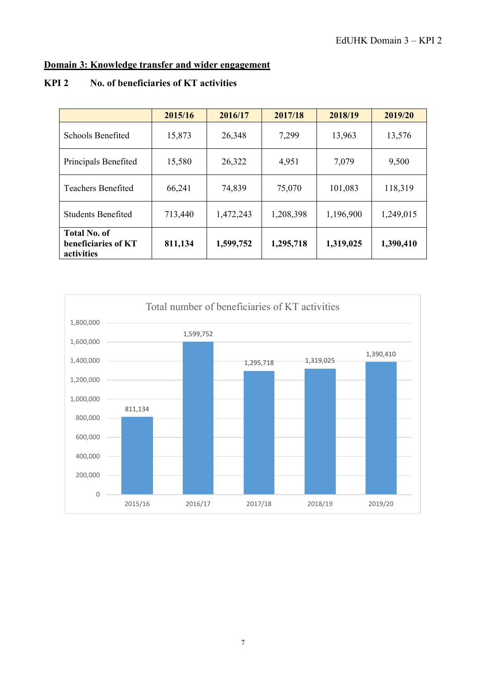# **Domain 3: Knowledge transfer and wider engagement**

#### **KPI 2 No. of beneficiaries of KT activities**

|                                                          | 2015/16 | 2016/17   | 2017/18   | 2018/19   | 2019/20   |
|----------------------------------------------------------|---------|-----------|-----------|-----------|-----------|
| Schools Benefited                                        | 15,873  | 26,348    | 7,299     | 13,963    | 13,576    |
| Principals Benefited                                     | 15,580  | 26,322    | 4,951     | 7,079     | 9,500     |
| <b>Teachers Benefited</b>                                | 66,241  | 74,839    | 75,070    | 101,083   | 118,319   |
| <b>Students Benefited</b>                                | 713,440 | 1,472,243 | 1,208,398 | 1,196,900 | 1,249,015 |
| <b>Total No. of</b><br>beneficiaries of KT<br>activities | 811,134 | 1,599,752 | 1,295,718 | 1,319,025 | 1,390,410 |

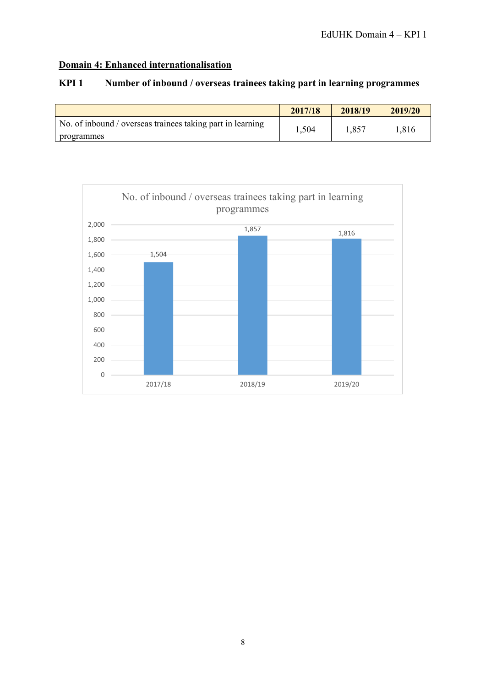# **Domain 4: Enhanced internationalisation**

|                                                                          | 2017/18 | 2018/19 | 2019/20 |
|--------------------------------------------------------------------------|---------|---------|---------|
| No. of inbound / overseas trainees taking part in learning<br>programmes | 1,504   | 1,857   | 1,816   |



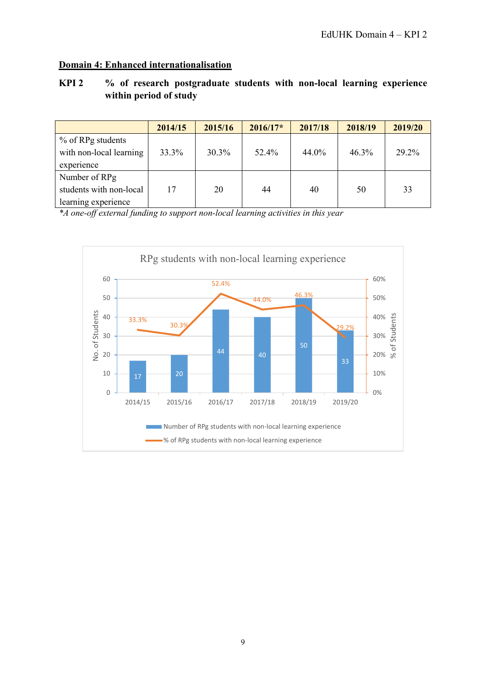### **Domain 4: Enhanced internationalisation**

#### **KPI 2 % of research postgraduate students with non-local learning experience within period of study**

|                         | 2014/15 | 2015/16  | $2016/17*$ | 2017/18 | 2018/19  | 2019/20 |
|-------------------------|---------|----------|------------|---------|----------|---------|
| % of RPg students       |         |          |            |         |          |         |
| with non-local learning | 33.3%   | $30.3\%$ | 52.4%      | 44.0%   | $46.3\%$ | 29.2%   |
| experience              |         |          |            |         |          |         |
| Number of RPg           |         |          |            |         |          |         |
| students with non-local | 17      | 20       | 44         | 40      | 50       | 33      |
| learning experience     |         |          |            |         |          |         |

*\*A one-off external funding to support non-local learning activities in this year*